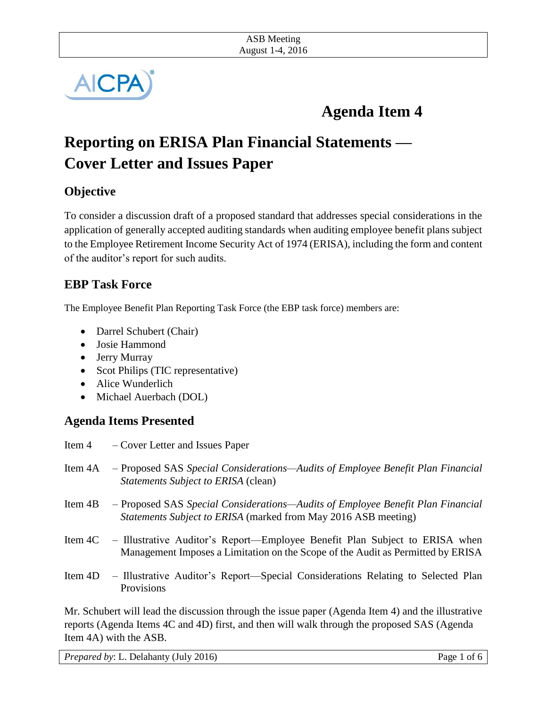

# **Agenda Item 4**

# **Reporting on ERISA Plan Financial Statements — Cover Letter and Issues Paper**

## **Objective**

To consider a discussion draft of a proposed standard that addresses special considerations in the application of generally accepted auditing standards when auditing employee benefit plans subject to the Employee Retirement Income Security Act of 1974 (ERISA), including the form and content of the auditor's report for such audits.

## **EBP Task Force**

The Employee Benefit Plan Reporting Task Force (the EBP task force) members are:

- Darrel Schubert (Chair)
- Josie Hammond
- Jerry Murray
- Scot Philips (TIC representative)
- Alice Wunderlich
- Michael Auerbach (DOL)

### **Agenda Items Presented**

Item 4 – Cover Letter and Issues Paper Item 4A – Proposed SAS *Special Considerations—Audits of Employee Benefit Plan Financial Statements Subject to ERISA* (clean) Item 4B – Proposed SAS *Special Considerations—Audits of Employee Benefit Plan Financial Statements Subject to ERISA* (marked from May 2016 ASB meeting) Item 4C – Illustrative Auditor's Report—Employee Benefit Plan Subject to ERISA when Management Imposes a Limitation on the Scope of the Audit as Permitted by ERISA Item 4D – Illustrative Auditor's Report—Special Considerations Relating to Selected Plan **Provisions** Mr. Schubert will lead the discussion through the issue paper (Agenda Item 4) and the illustrative

reports (Agenda Items 4C and 4D) first, and then will walk through the proposed SAS (Agenda Item 4A) with the ASB.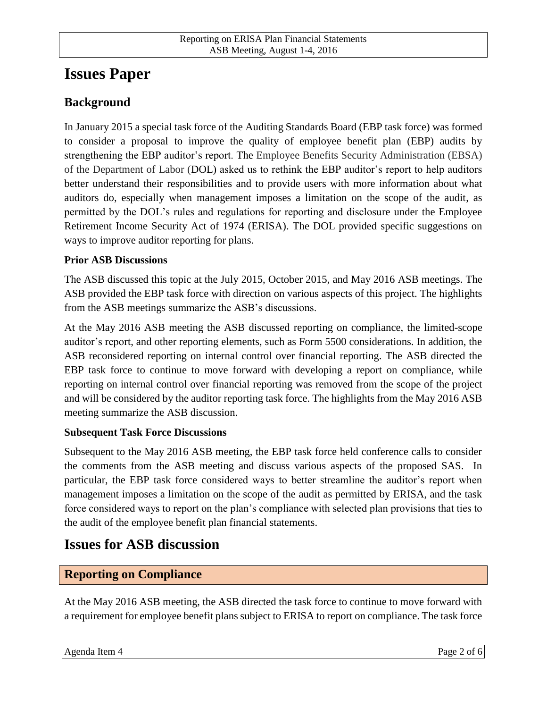## **Issues Paper**

## **Background**

In January 2015 a special task force of the Auditing Standards Board (EBP task force) was formed to consider a proposal to improve the quality of employee benefit plan (EBP) audits by strengthening the EBP auditor's report. The Employee Benefits Security Administration (EBSA) of the Department of Labor (DOL) asked us to rethink the EBP auditor's report to help auditors better understand their responsibilities and to provide users with more information about what auditors do, especially when management imposes a limitation on the scope of the audit, as permitted by the DOL's rules and regulations for reporting and disclosure under the Employee Retirement Income Security Act of 1974 (ERISA). The DOL provided specific suggestions on ways to improve auditor reporting for plans.

#### **Prior ASB Discussions**

The ASB discussed this topic at the July 2015, October 2015, and May 2016 ASB meetings. The ASB provided the EBP task force with direction on various aspects of this project. The highlights from the ASB meetings summarize the ASB's discussions.

At the May 2016 ASB meeting the ASB discussed reporting on compliance, the limited-scope auditor's report, and other reporting elements, such as Form 5500 considerations. In addition, the ASB reconsidered reporting on internal control over financial reporting. The ASB directed the EBP task force to continue to move forward with developing a report on compliance, while reporting on internal control over financial reporting was removed from the scope of the project and will be considered by the auditor reporting task force. The highlights from the May 2016 ASB meeting summarize the ASB discussion.

#### **Subsequent Task Force Discussions**

Subsequent to the May 2016 ASB meeting, the EBP task force held conference calls to consider the comments from the ASB meeting and discuss various aspects of the proposed SAS. In particular, the EBP task force considered ways to better streamline the auditor's report when management imposes a limitation on the scope of the audit as permitted by ERISA, and the task force considered ways to report on the plan's compliance with selected plan provisions that ties to the audit of the employee benefit plan financial statements.

## **Issues for ASB discussion**

#### **Reporting on Compliance**

At the May 2016 ASB meeting, the ASB directed the task force to continue to move forward with a requirement for employee benefit plans subject to ERISA to report on compliance. The task force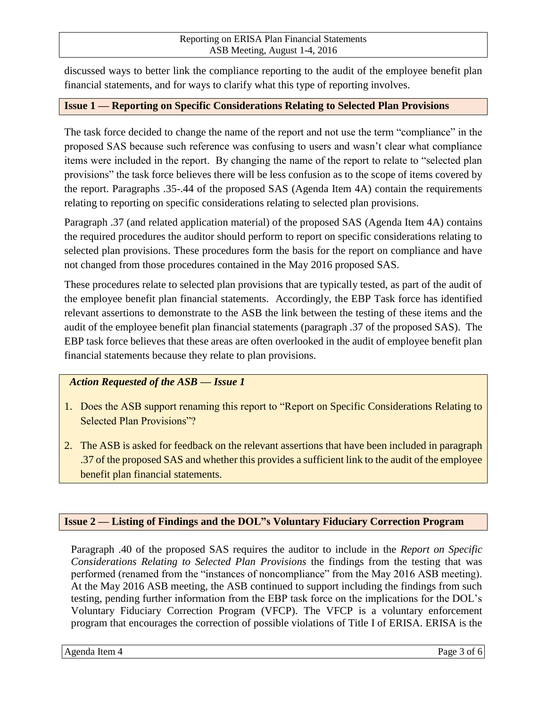#### Reporting on ERISA Plan Financial Statements ASB Meeting, August 1-4, 2016

discussed ways to better link the compliance reporting to the audit of the employee benefit plan financial statements, and for ways to clarify what this type of reporting involves.

#### **Issue 1 — Reporting on Specific Considerations Relating to Selected Plan Provisions**

The task force decided to change the name of the report and not use the term "compliance" in the proposed SAS because such reference was confusing to users and wasn't clear what compliance items were included in the report. By changing the name of the report to relate to "selected plan provisions" the task force believes there will be less confusion as to the scope of items covered by the report. Paragraphs .35-.44 of the proposed SAS (Agenda Item 4A) contain the requirements relating to reporting on specific considerations relating to selected plan provisions.

Paragraph .37 (and related application material) of the proposed SAS (Agenda Item 4A) contains the required procedures the auditor should perform to report on specific considerations relating to selected plan provisions. These procedures form the basis for the report on compliance and have not changed from those procedures contained in the May 2016 proposed SAS.

These procedures relate to selected plan provisions that are typically tested, as part of the audit of the employee benefit plan financial statements. Accordingly, the EBP Task force has identified relevant assertions to demonstrate to the ASB the link between the testing of these items and the audit of the employee benefit plan financial statements (paragraph .37 of the proposed SAS). The EBP task force believes that these areas are often overlooked in the audit of employee benefit plan financial statements because they relate to plan provisions.

#### *Action Requested of the ASB — Issue 1*

- 1. Does the ASB support renaming this report to "Report on Specific Considerations Relating to Selected Plan Provisions"?
- 2. The ASB is asked for feedback on the relevant assertions that have been included in paragraph .37 of the proposed SAS and whether this provides a sufficient link to the audit of the employee benefit plan financial statements.

#### **Issue 2 — Listing of Findings and the DOL"s Voluntary Fiduciary Correction Program**

Paragraph .40 of the proposed SAS requires the auditor to include in the *Report on Specific Considerations Relating to Selected Plan Provisions* the findings from the testing that was performed (renamed from the "instances of noncompliance" from the May 2016 ASB meeting). At the May 2016 ASB meeting, the ASB continued to support including the findings from such testing, pending further information from the EBP task force on the implications for the DOL's Voluntary Fiduciary Correction Program (VFCP). The VFCP is a voluntary enforcement program that encourages the correction of possible violations of Title I of ERISA. ERISA is the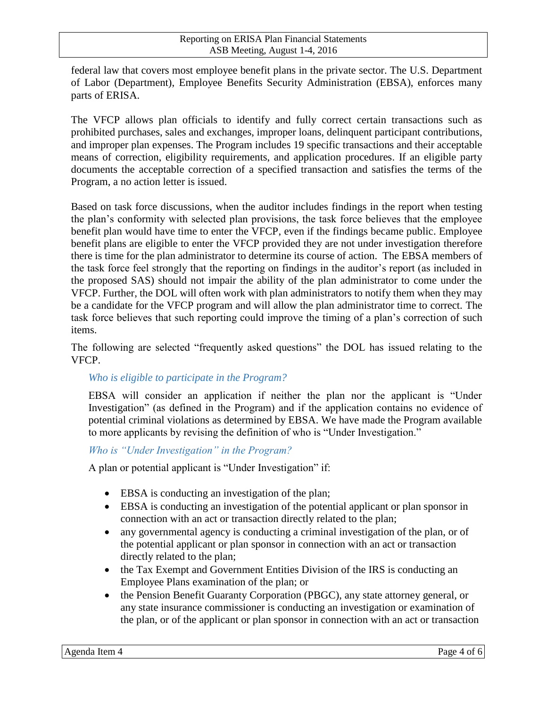federal law that covers most employee benefit plans in the private sector. The U.S. Department of Labor (Department), Employee Benefits Security Administration (EBSA), enforces many parts of ERISA.

The VFCP allows plan officials to identify and fully correct certain transactions such as prohibited purchases, sales and exchanges, improper loans, delinquent participant contributions, and improper plan expenses. The Program includes 19 specific transactions and their acceptable means of correction, eligibility requirements, and application procedures. If an eligible party documents the acceptable correction of a specified transaction and satisfies the terms of the Program, a no action letter is issued.

Based on task force discussions, when the auditor includes findings in the report when testing the plan's conformity with selected plan provisions, the task force believes that the employee benefit plan would have time to enter the VFCP, even if the findings became public. Employee benefit plans are eligible to enter the VFCP provided they are not under investigation therefore there is time for the plan administrator to determine its course of action. The EBSA members of the task force feel strongly that the reporting on findings in the auditor's report (as included in the proposed SAS) should not impair the ability of the plan administrator to come under the VFCP. Further, the DOL will often work with plan administrators to notify them when they may be a candidate for the VFCP program and will allow the plan administrator time to correct. The task force believes that such reporting could improve the timing of a plan's correction of such items.

The following are selected "frequently asked questions" the DOL has issued relating to the VFCP.

#### *Who is eligible to participate in the Program?*

EBSA will consider an application if neither the plan nor the applicant is "Under Investigation" (as defined in the Program) and if the application contains no evidence of potential criminal violations as determined by EBSA. We have made the Program available to more applicants by revising the definition of who is "Under Investigation."

#### *Who is "Under Investigation" in the Program?*

A plan or potential applicant is "Under Investigation" if:

- EBSA is conducting an investigation of the plan;
- EBSA is conducting an investigation of the potential applicant or plan sponsor in connection with an act or transaction directly related to the plan;
- any governmental agency is conducting a criminal investigation of the plan, or of the potential applicant or plan sponsor in connection with an act or transaction directly related to the plan;
- the Tax Exempt and Government Entities Division of the IRS is conducting an Employee Plans examination of the plan; or
- the Pension Benefit Guaranty Corporation (PBGC), any state attorney general, or any state insurance commissioner is conducting an investigation or examination of the plan, or of the applicant or plan sponsor in connection with an act or transaction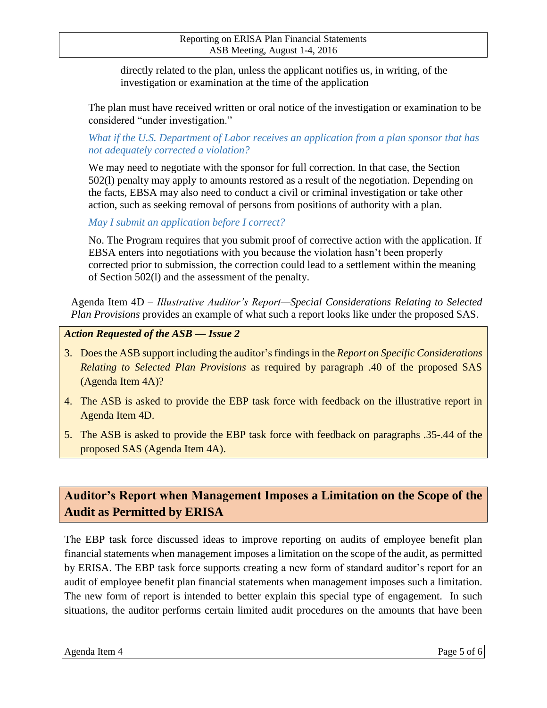directly related to the plan, unless the applicant notifies us, in writing, of the investigation or examination at the time of the application

The plan must have received written or oral notice of the investigation or examination to be considered "under investigation."

*What if the U.S. Department of Labor receives an application from a plan sponsor that has not adequately corrected a violation?*

We may need to negotiate with the sponsor for full correction. In that case, the Section 502(l) penalty may apply to amounts restored as a result of the negotiation. Depending on the facts, EBSA may also need to conduct a civil or criminal investigation or take other action, such as seeking removal of persons from positions of authority with a plan.

*May I submit an application before I correct?*

No. The Program requires that you submit proof of corrective action with the application. If EBSA enters into negotiations with you because the violation hasn't been properly corrected prior to submission, the correction could lead to a settlement within the meaning of Section 502(l) and the assessment of the penalty.

Agenda Item 4D – *Illustrative Auditor's Report—Special Considerations Relating to Selected Plan Provisions* provides an example of what such a report looks like under the proposed SAS.

*Action Requested of the ASB — Issue 2*

- 3. Does the ASB support including the auditor's findings in the *Report on Specific Considerations Relating to Selected Plan Provisions* as required by paragraph .40 of the proposed SAS (Agenda Item 4A)?
- 4. The ASB is asked to provide the EBP task force with feedback on the illustrative report in Agenda Item 4D.
- 5. The ASB is asked to provide the EBP task force with feedback on paragraphs .35-.44 of the proposed SAS (Agenda Item 4A).

## **Auditor's Report when Management Imposes a Limitation on the Scope of the Audit as Permitted by ERISA**

The EBP task force discussed ideas to improve reporting on audits of employee benefit plan financial statements when management imposes a limitation on the scope of the audit, as permitted by ERISA. The EBP task force supports creating a new form of standard auditor's report for an audit of employee benefit plan financial statements when management imposes such a limitation. The new form of report is intended to better explain this special type of engagement. In such situations, the auditor performs certain limited audit procedures on the amounts that have been